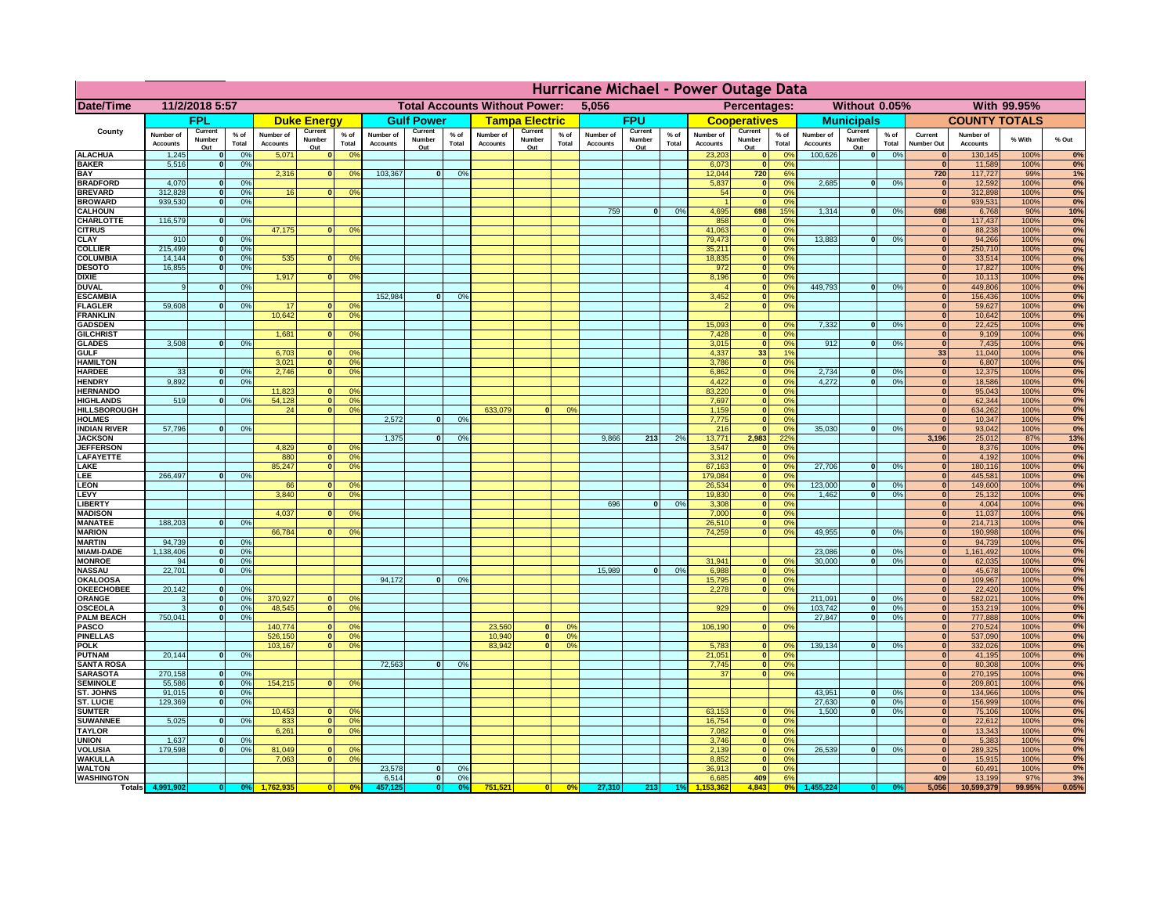|                                         | Hurricane Michael - Power Outage Data |                              |                    |                              |                   |                                                                                     |                              |                       |                 |                              |                                                     |                                  |                              |                   |                   |                              |                                      |                                  |                                                   |                                   |                              |                              |               |             |
|-----------------------------------------|---------------------------------------|------------------------------|--------------------|------------------------------|-------------------|-------------------------------------------------------------------------------------|------------------------------|-----------------------|-----------------|------------------------------|-----------------------------------------------------|----------------------------------|------------------------------|-------------------|-------------------|------------------------------|--------------------------------------|----------------------------------|---------------------------------------------------|-----------------------------------|------------------------------|------------------------------|---------------|-------------|
| <b>Date/Time</b>                        | 11/2/2018 5:57                        |                              |                    |                              |                   | <b>Total Accounts Without Power:</b><br>5,056                                       |                              |                       |                 |                              | <b>Percentages:</b><br>Without 0.05%<br>With 99.95% |                                  |                              |                   |                   |                              |                                      |                                  |                                                   |                                   |                              |                              |               |             |
|                                         | FPL                                   |                              | <b>Duke Energy</b> |                              |                   | <b>Gulf Power</b>                                                                   |                              | <b>Tampa Electric</b> |                 | <b>FPU</b>                   |                                                     |                                  | <b>Cooperatives</b>          |                   | <b>Municipals</b> |                              |                                      | <b>COUNTY TOTALS</b>             |                                                   |                                   |                              |                              |               |             |
| County                                  | Number of<br><b>Accounts</b>          | Current<br>Number            | $%$ of<br>Total    | Number of<br><b>Accounts</b> | Current<br>Number | $%$ of<br>Total                                                                     | Number of<br><b>Accounts</b> | Current<br>Number     | $%$ of<br>Total | Number of<br><b>Accounts</b> | Current<br>Number                                   | $%$ of<br>Total                  | Number of<br><b>Accounts</b> | Current<br>Number | % of<br>Total     | Number of<br><b>Accounts</b> | Current<br>Number                    | $%$ of<br>Total                  | Current<br>Number of<br>Number<br><b>Accounts</b> | $%$ of<br>Total                   | Current<br><b>Number Out</b> | Number of<br><b>Accounts</b> | % With        | $%$ Out     |
| <b>ALACHUA</b>                          | 1,245                                 | Out<br>$\mathbf{0}$          | 0%                 | 5,071                        | Out               | $\mathbf{0}$<br>0 <sup>9</sup>                                                      |                              | Out                   |                 |                              | Out                                                 |                                  |                              | Out               |                   | 23,203                       | Out<br>$\mathbf{0}$                  | O <sup>9</sup>                   | Out<br>100,626                                    | 0 <br>0%                          | $\bf{0}$                     | 130,145                      | 100%          | 0%          |
| <b>BAKER</b>                            | 5,516                                 | $\mathbf{0}$                 | 0%                 |                              |                   |                                                                                     |                              |                       |                 |                              |                                                     |                                  |                              |                   |                   | 6,073                        | $\mathbf{0}$                         | 0%                               |                                                   |                                   | $\mathbf{0}$                 | 11.589                       | 100%          | 0%          |
| <b>BAY</b><br><b>BRADFORD</b>           | 4,070                                 | $\mathbf{0}$                 | 0%                 | 2,316                        |                   | 0 <br>0 <sup>9</sup>                                                                | 103,367                      | 0                     | 0%              |                              |                                                     |                                  |                              |                   |                   | 12,044<br>5,837              | 720<br>$\mathbf{0}$                  | 6%<br>0%                         | 2,685                                             | $\overline{0}$<br>0%              | 720<br>$\bf{0}$              | 117,727<br>12,592            | 99%<br>100%   | 1%<br>0%    |
| <b>BREVARD</b>                          | 312,828                               | $\Omega$                     | 0%                 | 16                           |                   | 0 <sup>o</sup><br> 0                                                                |                              |                       |                 |                              |                                                     |                                  |                              |                   |                   | 54                           | $\mathbf{0}$                         | 0%                               |                                                   |                                   | $\mathbf{0}$                 | 312,898                      | 100%          | 0%          |
| <b>BROWARD</b>                          | 939.530                               | $\mathbf{0}$                 | 0%                 |                              |                   |                                                                                     |                              |                       |                 |                              |                                                     |                                  |                              |                   |                   |                              | $\mathbf{0}$                         | O <sup>9</sup>                   |                                                   |                                   | $\bf{0}$                     | 939,531                      | 100%          | 0%          |
| <b>CALHOUN</b><br>CHARLOTTE             | 116,579                               | $\mathbf 0$                  | 0%                 |                              |                   |                                                                                     |                              |                       |                 |                              |                                                     |                                  | 759                          | $\mathbf{0}$      | 0%                | 4,695<br>858                 | 698<br>$\mathbf{0}$                  | 15%<br>O <sup>9</sup>            | 1,314                                             | 0 <br>0%                          | 698<br>$\bf{0}$              | 6,768<br>117,437             | 90%<br>100%   | 10%         |
| <b>CITRUS</b>                           |                                       |                              |                    | 47,175                       | $\mathbf{0}$      | 0 <sup>o</sup>                                                                      |                              |                       |                 |                              |                                                     |                                  |                              |                   |                   | 41,063                       | $\mathbf{0}$                         | O <sup>9</sup>                   |                                                   |                                   | $\bf{0}$                     | 88,238                       | 100%          | 0%<br>0%    |
| <b>CLAY</b>                             | 910                                   |                              | 0%                 |                              |                   |                                                                                     |                              |                       |                 |                              |                                                     |                                  |                              |                   |                   | 79,473                       | $\mathbf{0}$                         | 0 <sup>9</sup>                   | 13,883                                            | $\Omega$<br>0%                    | $\bf{0}$                     | 94,266                       | 100%          | 0%          |
| <b>COLLIER</b><br><b>COLUMBIA</b>       | 215,499<br>14,144                     | $\mathbf{0}$<br>$\mathbf{0}$ | 0%<br>0%           | 535                          | $\mathbf{0}$      | 0 <sup>9</sup>                                                                      |                              |                       |                 |                              |                                                     |                                  |                              |                   |                   | 35,211<br>18,835             | $\mathbf{0}$<br>$\bullet$            | 0 <sup>9</sup><br>0 <sup>9</sup> |                                                   |                                   |                              | 250,710<br>33,514            | 100%<br>100%  | 0%<br>0%    |
| <b>DESOTO</b>                           | 16,855                                | $\mathbf{0}$                 | 0%                 |                              |                   |                                                                                     |                              |                       |                 |                              |                                                     |                                  |                              |                   |                   | 972                          | $\bullet$                            | 0%                               |                                                   |                                   |                              | 17,827                       | 100%          | 0%          |
| <b>DIXIE</b>                            |                                       |                              |                    | 1,917                        | $\Omega$          | 0 <sup>9</sup>                                                                      |                              |                       |                 |                              |                                                     |                                  |                              |                   |                   | 8,196                        | $\mathbf{0}$                         | $\Omega$ <sup>o</sup>            |                                                   |                                   |                              | 10,113                       | 100%          | 0%          |
| <b>DUVAL</b><br><b>ESCAMBIA</b>         | 9                                     | $\Omega$                     | 0%                 |                              |                   |                                                                                     | 152,984                      | $\mathbf{0}$          | 0 <sup>9</sup>  |                              |                                                     |                                  |                              |                   |                   | 3,452                        | $\mathbf{0}$<br>$\mathbf{0}$         | 0 <sup>9</sup><br>0%             | 449.793                                           | $\mathbf{0}$<br>0%                | $\Omega$<br>$\Omega$         | 449,806<br>156,436           | 100%<br>100%  | 0%<br>0%    |
| <b>FLAGLER</b>                          | 59,608                                | $\mathbf{o}$                 | 0%                 | 17                           | $\bf{0}$          | 0 <sup>o</sup>                                                                      |                              |                       |                 |                              |                                                     |                                  |                              |                   |                   |                              | $\bullet$                            | 0%                               |                                                   |                                   | $\bf{0}$                     | 59,627                       | 100%          | 0%          |
| <b>FRANKLIN</b>                         |                                       |                              |                    | 10,642                       | 0                 | 0 <sup>9</sup>                                                                      |                              |                       |                 |                              |                                                     |                                  |                              |                   |                   |                              |                                      |                                  |                                                   |                                   | $\bf{0}$                     | 10,642                       | 100%          | 0%          |
| <b>GADSDEN</b><br><b>GILCHRIST</b>      |                                       |                              |                    | 1,681                        |                   | 0 <br>0 <sup>9</sup>                                                                |                              |                       |                 |                              |                                                     |                                  |                              |                   |                   | 15,093<br>7,428              | $\Omega$<br>$\bullet$                | 0%<br>0%                         | 7,332                                             | 0%<br>$\mathbf{0}$                | $\bf{0}$<br>$\overline{0}$   | 22,425<br>9,109              | 100%<br>100%  | 0%<br>0%    |
| <b>GLADES</b>                           | 3.508                                 | $\overline{0}$               | 0%                 |                              |                   |                                                                                     |                              |                       |                 |                              |                                                     |                                  |                              |                   |                   | 3,015                        | $\overline{\mathbf{0}}$              | 0%                               | 912                                               | 0%<br>$\overline{0}$              | $\overline{0}$               | 7,435                        | 100%          | 0%          |
| <b>GULF</b>                             |                                       |                              |                    | 6,703                        |                   | 0 <br>$^{\circ}$                                                                    |                              |                       |                 |                              |                                                     |                                  |                              |                   |                   | 4,337                        | 33                                   | 1%                               |                                                   |                                   | 33                           | 11,040                       | 100%          | 0%          |
| <b>HAMILTON</b><br><b>HARDEE</b>        | 33                                    | $\Omega$                     | 0%                 | $3.02^{\circ}$<br>2.746      |                   | $\overline{\bullet}$<br>0 <sup>9</sup><br>$\overline{\mathbf{0}}$<br>0 <sup>9</sup> |                              |                       |                 |                              |                                                     |                                  |                              |                   |                   | 3,786<br>6,862               | $\overline{\mathbf{0}}$<br>$\bullet$ | 0%<br>0%                         | 2,734                                             | 0%<br>$\mathbf{0}$                | 0 <br> 0                     | 6,807<br>12,375              | 100%<br>100%  | 0%<br>0%    |
| <b>HENDRY</b>                           | 9,892                                 | $\overline{0}$               | 0%                 |                              |                   |                                                                                     |                              |                       |                 |                              |                                                     |                                  |                              |                   |                   | 4,422                        | $\mathbf 0$                          | 0%                               | 4.272                                             | 0%<br> 0                          | 0                            | 18,586                       | 100%          | 0%          |
| <b>HERNANDO</b>                         |                                       |                              |                    | 11,823                       | $\mathbf{0}$      | 0 <sup>9</sup>                                                                      |                              |                       |                 |                              |                                                     |                                  |                              |                   |                   | 83,220                       | $\mathbf{0}$                         | 0%                               |                                                   |                                   | $\mathbf{0}$                 | 95,043                       | 100%          | 0%          |
| <b>HIGHLANDS</b><br><b>HILLSBOROUGH</b> | 519                                   |                              | 0 <sup>9</sup>     | 54,128<br>24                 | $\Omega$          | 0 <br>0 <sup>9</sup><br>0 <sup>9</sup>                                              |                              |                       |                 | 633,079                      |                                                     | 0%                               |                              |                   |                   | 7,697<br>1,159               | $\mathbf{0}$<br>$\mathbf{0}$         | 0%<br>0%                         |                                                   |                                   | $\Omega$<br>$\Omega$         | 62,344<br>634,262            | 100%<br>100%  | 0%<br>0%    |
| <b>HOLMES</b>                           |                                       |                              |                    |                              |                   |                                                                                     | 2.572                        | 0                     | 0%              |                              |                                                     |                                  |                              |                   |                   | 7,775                        | $\mathbf{0}$                         | 0%                               |                                                   |                                   | $\mathbf{0}$                 | 10,347                       | 100%          | 0%          |
| <b>INDIAN RIVER</b>                     | 57,796                                | $\Omega$                     | 0%                 |                              |                   |                                                                                     |                              |                       |                 |                              |                                                     |                                  |                              |                   |                   | 216                          | $\mathbf{0}$                         | 0%                               | 35,030                                            | $\mathbf{0}$<br>0%                | $\mathbf{0}$                 | 93,042                       | 100%          | 0%          |
| <b>JACKSON</b><br><b>JEFFERSON</b>      |                                       |                              |                    | 4.829                        | n l               | 0 <sup>9</sup>                                                                      | 1.375                        | $\mathbf{0}$          | 0%              |                              |                                                     |                                  | 9.866                        | 213               | 2%                | 13.771<br>3.547              | 2.983<br>$\Omega$                    | 22%<br>0%                        |                                                   |                                   | 3.196<br>$\mathbf{0}$        | 25,012<br>8.376              | 87%<br>100%   | 13%<br>0%   |
| LAFAYETTE                               |                                       |                              |                    | 880                          |                   | 0 <br>0 <sup>9</sup>                                                                |                              |                       |                 |                              |                                                     |                                  |                              |                   |                   | 3.312                        | $\Omega$                             | 0%                               |                                                   |                                   | 0                            | 4,192                        | 100%          | 0%          |
| LAKE                                    |                                       |                              |                    | 85,247                       |                   | $\mathbf{0}$<br>0 <sup>9</sup>                                                      |                              |                       |                 |                              |                                                     |                                  |                              |                   |                   | 67,163                       | $\Omega$                             | 0%                               | 27,706                                            | $\Omega$<br>0%                    | 0                            | 180,116                      | 100%          | 0%          |
| .EE<br><b>EON</b>                       | 266,497                               |                              | 0%                 | 66                           | $\mathbf{0}$      | 0 <sup>o</sup>                                                                      |                              |                       |                 |                              |                                                     |                                  |                              |                   |                   | 179,084<br>26,534            | $\mathbf{0}$<br>$\mathbf{0}$         | 0%<br>0%                         | 123,000                                           | $\Omega$<br>0%                    | 0 <br> 0                     | 445,581<br>149,600           | 100%<br>100%  | 0%<br>0%    |
| LEVY                                    |                                       |                              |                    | 3,840                        | $\Omega$          | 0 <sup>9</sup>                                                                      |                              |                       |                 |                              |                                                     |                                  |                              |                   |                   | 19,830                       |                                      | 0%                               | 1,462                                             | $\mathbf{0}$<br>0%                | 0                            | 25,132                       | 100%          | 0%          |
| <b>LIBERT</b>                           |                                       |                              |                    |                              |                   |                                                                                     |                              |                       |                 |                              |                                                     |                                  | 696                          | $\mathbf{0}$      | 0%                | 3,308                        | $\mathbf{0}$                         | 0%                               |                                                   |                                   | 0                            | 4,004                        | 100%          | 0%          |
| <b>MADISON</b><br><b>MANATEE</b>        | 188,203                               | $\overline{0}$               | 0%                 | 4,037                        | $\Omega$          | 0 <sup>9</sup>                                                                      |                              |                       |                 |                              |                                                     |                                  |                              |                   |                   | 7,000<br>26,510              | $\mathbf{0}$<br>$\Omega$             | 0%<br>0%                         |                                                   |                                   | 0 <br> 0                     | 11,037<br>214,713            | 100%<br>100%  | 0%<br>0%    |
| <b>MARION</b>                           |                                       |                              |                    | 66,784                       | 0                 | 0 <sup>9</sup>                                                                      |                              |                       |                 |                              |                                                     |                                  |                              |                   |                   | 74,259                       | $\mathbf{0}$                         | 0%                               | 49,955                                            | $\Omega$<br>0%                    | 0                            | 190,998                      | 100%          | 0%          |
| <b>MARTIN</b>                           | 94,739                                | $\overline{0}$               | 0%                 |                              |                   |                                                                                     |                              |                       |                 |                              |                                                     |                                  |                              |                   |                   |                              |                                      |                                  |                                                   |                                   | 0                            | 94,739                       | 100%          | 0%          |
| <b>MIAMI-DADE</b><br><b>MONROE</b>      | 1,138,406<br>94                       | 0 <br> 0                     | 0%<br>0%           |                              |                   |                                                                                     |                              |                       |                 |                              |                                                     |                                  |                              |                   |                   | 31,941                       | $\mathbf{0}$                         | 0 <sup>9</sup>                   | 23,086<br>30,000                                  | $\mathbf{0}$<br>0%<br>- O I<br>0% | 0 <br> 0                     | 1,161,492<br>62,035          | 100%<br>100%  | 0%<br>0%    |
| <b>NASSAU</b>                           | 22,701                                | 0                            | 0%                 |                              |                   |                                                                                     |                              |                       |                 |                              |                                                     |                                  | 15,989                       | 0                 | 0%                | 6,988                        | 0                                    | 0%                               |                                                   |                                   | 0                            | 45,678                       | 100%          | 0%          |
| <b>OKALOOSA</b>                         |                                       |                              |                    |                              |                   |                                                                                     | 94,172                       | $\Omega$              | 0%              |                              |                                                     |                                  |                              |                   |                   | 15,795                       | 0                                    | 0%                               |                                                   |                                   | 0                            | 109,967                      | 100%          | 0%          |
| <b>OKEECHOBEE</b><br>ORANGE             | 20,142<br>3                           | 0 <br> 0                     | 0%<br>0%           | 370,927                      | $\Omega$          | O <sup>9</sup>                                                                      |                              |                       |                 |                              |                                                     |                                  |                              |                   |                   | 2,278                        | 0                                    | 0%                               | 211,091                                           | $\mathbf{0}$<br>0%                | 0 <br> 0                     | 22,420<br>582,021            | 100%<br>100%  | 0%<br>0%    |
| <b>OSCEOLA</b>                          | 3                                     | 0                            | 0%                 | 48,545                       |                   | 0 <sup>9</sup><br> 0                                                                |                              |                       |                 |                              |                                                     |                                  |                              |                   |                   | 929                          | 0                                    | 0%                               | 103,742                                           | 0%<br> 0                          | 0                            | 153,219                      | 100%          | 0%          |
| <b>PALM BEACH</b>                       | 750,041                               | 0                            | 0%                 |                              |                   |                                                                                     |                              |                       |                 |                              |                                                     |                                  |                              |                   |                   |                              |                                      |                                  | 27,847                                            | 0%<br>- Ol                        | 0                            | 777,888                      | 100%          | 0%          |
| <b>PASCO</b><br><b>PINELLAS</b>         |                                       |                              |                    | 140,774<br>526,150           | 0 <br> 0          | 0 <sup>9</sup><br>0 <sup>o</sup>                                                    |                              |                       |                 | 23,560<br>10,940             | $\Omega$<br>$\mathbf{0}$                            | 0 <sup>9</sup><br>0 <sup>9</sup> |                              |                   |                   | 106,190                      | 0                                    | 0%                               |                                                   |                                   | 0 <br> 0                     | 270,524<br>537,090           | 100%<br>100%  | 0%<br>0%    |
| <b>POLK</b>                             |                                       |                              |                    | 103,167                      |                   | 0 <sup>9</sup><br> 0                                                                |                              |                       |                 | 83,942                       | $\mathbf{0}$                                        | 0%                               |                              |                   |                   | 5,783                        | $\mathbf{0}$                         | $\Omega$                         | 139,134                                           | -ol<br>0%                         | $\mathbf{0}$                 | 332,026                      | 100%          | 0%          |
| <b>PUTNAM</b>                           | 20,144                                | 0                            | 0%                 |                              |                   |                                                                                     |                              |                       |                 |                              |                                                     |                                  |                              |                   |                   | 21,051                       | 0                                    | 0%                               |                                                   |                                   | $\bf{0}$                     | 41,195                       | 100%          | 0%          |
| <b>SANTA ROSA</b><br><b>SARASOTA</b>    | 270,158                               | $\Omega$                     | 0%                 |                              |                   |                                                                                     | 72,563                       | 0                     | 0%              |                              |                                                     |                                  |                              |                   |                   | 7,745<br>37                  | 0 <br> 0                             | 0%<br>0%                         |                                                   |                                   | $\bf{0}$<br>$\mathbf{0}$     | 80,308<br>270,195            | 100%<br>100%  | 0%<br>0%    |
| <b>SEMINOLE</b>                         | 55,586                                | $\overline{0}$               | 0%                 | 154,215                      |                   | $\mathbf{0}$<br>0 <sup>9</sup>                                                      |                              |                       |                 |                              |                                                     |                                  |                              |                   |                   |                              |                                      |                                  |                                                   |                                   | $\mathbf{0}$                 | 209,801                      | 100%          | 0%          |
| <b>ST. JOHNS</b>                        | 91,015                                | $\overline{0}$               | 0%                 |                              |                   |                                                                                     |                              |                       |                 |                              |                                                     |                                  |                              |                   |                   |                              |                                      |                                  | 43,951                                            | - ol<br>0%                        | 0                            | 134,966                      | 100%          | 0%          |
| <b>ST. LUCIE</b><br><b>SUMTER</b>       | 129.369                               | $\mathbf{0}$                 | 0%                 | 10,453                       |                   | $\mathbf{0}$<br>0 <sup>9</sup>                                                      |                              |                       |                 |                              |                                                     |                                  |                              |                   |                   | 63,153                       | $\Omega$                             | 0%                               | 27,630<br>1.500                                   | 0%<br>- Ol<br>0%<br>- Ol          | 0 <br> 0                     | 156,999<br>75,106            | 100%<br>100%  | 0%<br>0%    |
| <b>SUWANNEE</b>                         | 5,025                                 | $\mathbf 0$                  | 0%                 | 833                          | 0                 | 0 <sup>o</sup>                                                                      |                              |                       |                 |                              |                                                     |                                  |                              |                   |                   | 16,754                       | $\mathbf{0}$                         | 0%                               |                                                   |                                   | $\mathbf{0}$                 | 22,612                       | 100%          | 0%          |
| <b>TAYLOR</b>                           |                                       |                              |                    | 6,261                        |                   | 0 <br>0 <sup>9</sup>                                                                |                              |                       |                 |                              |                                                     |                                  |                              |                   |                   | 7,082                        | $\mathbf{0}$                         | 0%                               |                                                   |                                   | $\bf{0}$                     | 13,343                       | 100%          | 0%          |
| <b>UNION</b><br><b>VOLUSIA</b>          | 1,637<br>179,598                      | $\mathbf{0}$<br>$\mathbf{0}$ | 0%<br>0%           | 81,049                       | $\mathbf{0}$      | $\mathbf{0}$                                                                        |                              |                       |                 |                              |                                                     |                                  |                              |                   |                   | 3,746<br>2,139               | $\mathbf{0}$<br>$\mathbf{0}$         | 0%<br>0%                         | 26,539                                            | -ol<br>0%                         | $\bf{0}$<br>$\bf{0}$         | 5,383<br>289,325             | 100%<br>100%  | 0%<br>0%    |
| <b>WAKULLA</b>                          |                                       |                              |                    | 7,063                        | $\mathbf{0}$      | 0 <sup>9</sup>                                                                      |                              |                       |                 |                              |                                                     |                                  |                              |                   |                   | 8,852                        | $\mathbf{0}$                         | 0%                               |                                                   |                                   | $\bf{0}$                     | 15,915                       | 100%          | 0%          |
| <b>WALTON</b>                           |                                       |                              |                    |                              |                   |                                                                                     | 23,578                       | 0                     | 0%              |                              |                                                     |                                  |                              |                   |                   | 36,913                       | $\mathbf{0}$                         | 0%                               |                                                   |                                   | $\bf{0}$                     | 60,491                       | 100%          | 0%          |
| <b>WASHINGTON</b><br><b>Totals</b>      | 4,991,902                             | $\mathbf{0}$                 | 0 <sup>o</sup>     | 1,762,935                    | $\overline{0}$    | 0 <sup>9</sup>                                                                      | 6,514<br>457,125             | 0 <br> 0              | 0%<br>0%        | 751,521                      | 0                                                   | 0%                               | 27,310                       | 213               | 1%                | 6,685<br>1.153.362           | 409<br>4,843                         | 6%<br>0%                         | ,455,224                                          | 0%<br>0.                          | 409<br>5,056                 | 13,199<br>10.599.379         | 97%<br>99.95% | 3%<br>0.05% |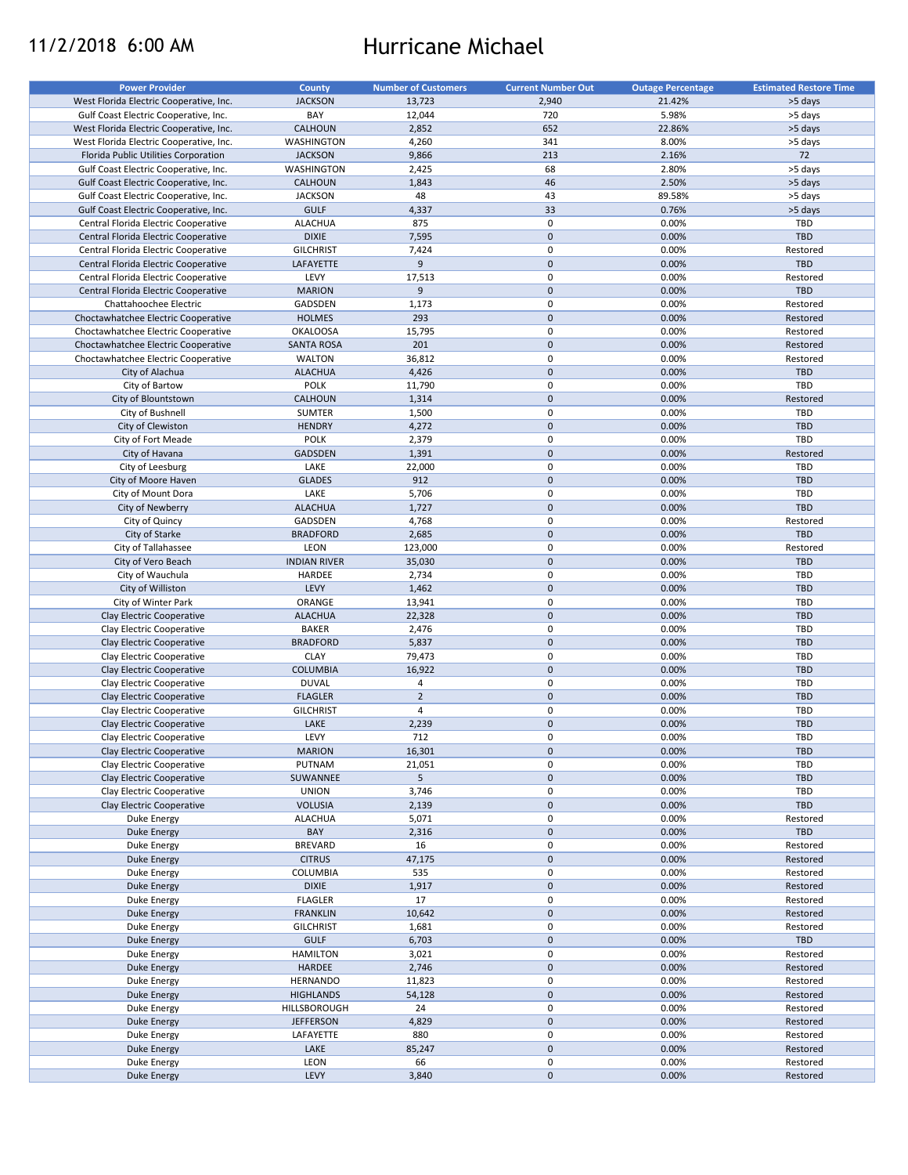# 11/2/2018 6:00 AM Hurricane Michael

| <b>Power Provider</b>                   | <b>County</b>       | <b>Number of Customers</b> | <b>Current Number Out</b> | <b>Outage Percentage</b> | <b>Estimated Restore Time</b> |
|-----------------------------------------|---------------------|----------------------------|---------------------------|--------------------------|-------------------------------|
|                                         |                     |                            |                           |                          |                               |
| West Florida Electric Cooperative, Inc. | <b>JACKSON</b>      | 13,723                     | 2,940                     | 21.42%                   | >5 days                       |
| Gulf Coast Electric Cooperative, Inc.   | BAY                 | 12,044                     | 720                       | 5.98%                    | >5 days                       |
| West Florida Electric Cooperative, Inc. | <b>CALHOUN</b>      | 2,852                      | 652                       | 22.86%                   | >5 days                       |
| West Florida Electric Cooperative, Inc. | WASHINGTON          | 4,260                      | 341                       | 8.00%                    | >5 days                       |
| Florida Public Utilities Corporation    | <b>JACKSON</b>      | 9,866                      | 213                       | 2.16%                    | 72                            |
| Gulf Coast Electric Cooperative, Inc.   | WASHINGTON          | 2,425                      | 68                        | 2.80%                    | >5 days                       |
| Gulf Coast Electric Cooperative, Inc.   | <b>CALHOUN</b>      | 1,843                      | 46                        | 2.50%                    | >5 days                       |
| Gulf Coast Electric Cooperative, Inc.   | <b>JACKSON</b>      | 48                         | 43                        | 89.58%                   | >5 days                       |
| Gulf Coast Electric Cooperative, Inc.   | <b>GULF</b>         | 4,337                      | 33                        | 0.76%                    | >5 days                       |
| Central Florida Electric Cooperative    | <b>ALACHUA</b>      | 875                        | 0                         | 0.00%                    | TBD                           |
|                                         |                     |                            | $\mathbf 0$               |                          |                               |
| Central Florida Electric Cooperative    | <b>DIXIE</b>        | 7,595                      |                           | 0.00%                    | <b>TBD</b>                    |
| Central Florida Electric Cooperative    | <b>GILCHRIST</b>    | 7,424                      | $\mathbf 0$               | 0.00%                    | Restored                      |
| Central Florida Electric Cooperative    | LAFAYETTE           | 9                          | $\mathbf 0$               | 0.00%                    | <b>TBD</b>                    |
| Central Florida Electric Cooperative    | LEVY                | 17,513                     | $\pmb{0}$                 | 0.00%                    | Restored                      |
| Central Florida Electric Cooperative    | <b>MARION</b>       | 9                          | $\mathbf 0$               | 0.00%                    | TBD                           |
| Chattahoochee Electric                  | GADSDEN             | 1,173                      | $\mathbf 0$               | 0.00%                    | Restored                      |
| Choctawhatchee Electric Cooperative     | <b>HOLMES</b>       | 293                        | $\mathbf 0$               | 0.00%                    | Restored                      |
| Choctawhatchee Electric Cooperative     | <b>OKALOOSA</b>     | 15,795                     | $\pmb{0}$                 | 0.00%                    | Restored                      |
| Choctawhatchee Electric Cooperative     | <b>SANTA ROSA</b>   | 201                        | $\mathbf 0$               | 0.00%                    | Restored                      |
|                                         |                     |                            | $\pmb{0}$                 |                          |                               |
| Choctawhatchee Electric Cooperative     | <b>WALTON</b>       | 36,812                     |                           | 0.00%                    | Restored                      |
| City of Alachua                         | <b>ALACHUA</b>      | 4,426                      | $\mathbf 0$               | 0.00%                    | TBD                           |
| City of Bartow                          | <b>POLK</b>         | 11,790                     | $\mathbf 0$               | 0.00%                    | TBD                           |
| City of Blountstown                     | <b>CALHOUN</b>      | 1,314                      | $\pmb{0}$                 | 0.00%                    | Restored                      |
| City of Bushnell                        | <b>SUMTER</b>       | 1,500                      | $\mathbf 0$               | 0.00%                    | TBD                           |
| City of Clewiston                       | <b>HENDRY</b>       | 4,272                      | $\pmb{0}$                 | 0.00%                    | TBD                           |
| City of Fort Meade                      | <b>POLK</b>         | 2,379                      | $\mathbf 0$               | 0.00%                    | TBD                           |
| City of Havana                          | <b>GADSDEN</b>      | 1,391                      | $\mathbf 0$               | 0.00%                    | Restored                      |
|                                         |                     |                            |                           |                          |                               |
| City of Leesburg                        | LAKE                | 22,000                     | $\mathbf 0$               | 0.00%                    | TBD                           |
| City of Moore Haven                     | <b>GLADES</b>       | 912                        | $\mathbf 0$               | 0.00%                    | <b>TBD</b>                    |
| City of Mount Dora                      | LAKE                | 5,706                      | $\mathbf 0$               | 0.00%                    | TBD                           |
| City of Newberry                        | <b>ALACHUA</b>      | 1,727                      | $\mathbf 0$               | 0.00%                    | <b>TBD</b>                    |
| City of Quincy                          | GADSDEN             | 4,768                      | $\mathbf 0$               | 0.00%                    | Restored                      |
| City of Starke                          | <b>BRADFORD</b>     | 2,685                      | $\mathbf 0$               | 0.00%                    | <b>TBD</b>                    |
| City of Tallahassee                     | LEON                | 123,000                    | $\pmb{0}$                 | 0.00%                    | Restored                      |
| City of Vero Beach                      | <b>INDIAN RIVER</b> | 35,030                     | $\mathbf 0$               | 0.00%                    | <b>TBD</b>                    |
|                                         |                     |                            |                           |                          |                               |
| City of Wauchula                        | HARDEE              | 2,734                      | $\pmb{0}$                 | 0.00%                    | TBD                           |
| City of Williston                       | LEVY                | 1,462                      | $\pmb{0}$                 | 0.00%                    | <b>TBD</b>                    |
| City of Winter Park                     | ORANGE              | 13,941                     | $\pmb{0}$                 | 0.00%                    | TBD                           |
| Clay Electric Cooperative               | <b>ALACHUA</b>      | 22,328                     | $\mathbf 0$               | 0.00%                    | <b>TBD</b>                    |
| Clay Electric Cooperative               | <b>BAKER</b>        | 2,476                      | 0                         | 0.00%                    | TBD                           |
| Clay Electric Cooperative               | <b>BRADFORD</b>     | 5,837                      | $\mathbf 0$               | 0.00%                    | <b>TBD</b>                    |
| Clay Electric Cooperative               | <b>CLAY</b>         | 79,473                     | $\pmb{0}$                 | 0.00%                    | TBD                           |
| Clay Electric Cooperative               | <b>COLUMBIA</b>     | 16,922                     | $\mathbf 0$               | 0.00%                    | <b>TBD</b>                    |
| Clay Electric Cooperative               | <b>DUVAL</b>        | 4                          | $\pmb{0}$                 | 0.00%                    | TBD                           |
|                                         |                     |                            |                           |                          |                               |
| Clay Electric Cooperative               | <b>FLAGLER</b>      | $\overline{2}$             | $\pmb{0}$                 | 0.00%                    | <b>TBD</b>                    |
| Clay Electric Cooperative               | <b>GILCHRIST</b>    | $\overline{4}$             | $\mathbf 0$               | 0.00%                    | TBD                           |
| Clay Electric Cooperative               | LAKE                | 2,239                      | $\pmb{0}$                 | 0.00%                    | <b>TBD</b>                    |
| Clay Electric Cooperative               | LEVY                | 712                        | $\mathbf 0$               | 0.00%                    | TBD                           |
| Clay Electric Cooperative               | <b>MARION</b>       | 16,301                     | $\mathbf 0$               | 0.00%                    | TBD                           |
| Clay Electric Cooperative               | PUTNAM              | 21,051                     | 0                         | 0.00%                    | TBD                           |
| Clay Electric Cooperative               | SUWANNEE            | 5 <sup>1</sup>             | $\mathbf 0$               | 0.00%                    | <b>TBD</b>                    |
|                                         |                     |                            |                           |                          |                               |
| Clay Electric Cooperative               | <b>UNION</b>        | 3,746                      | 0                         | 0.00%                    | TBD<br><b>TBD</b>             |
| Clay Electric Cooperative               | <b>VOLUSIA</b>      | 2,139                      | $\mathbf 0$               | 0.00%                    |                               |
| Duke Energy                             | <b>ALACHUA</b>      | 5,071                      | $\pmb{0}$                 | 0.00%                    | Restored                      |
| Duke Energy                             | BAY                 | 2,316                      | $\pmb{0}$                 | 0.00%                    | TBD                           |
| Duke Energy                             | <b>BREVARD</b>      | 16                         | $\pmb{0}$                 | 0.00%                    | Restored                      |
| Duke Energy                             | <b>CITRUS</b>       | 47,175                     | $\mathbf 0$               | 0.00%                    | Restored                      |
| Duke Energy                             | COLUMBIA            | 535                        | 0                         | 0.00%                    | Restored                      |
| Duke Energy                             | <b>DIXIE</b>        | 1,917                      | $\mathbf 0$               | 0.00%                    | Restored                      |
|                                         |                     |                            |                           |                          |                               |
| Duke Energy                             | <b>FLAGLER</b>      | 17                         | 0                         | 0.00%                    | Restored                      |
| Duke Energy                             | <b>FRANKLIN</b>     | 10,642                     | $\pmb{0}$                 | 0.00%                    | Restored                      |
| Duke Energy                             | <b>GILCHRIST</b>    | 1,681                      | 0                         | 0.00%                    | Restored                      |
| Duke Energy                             | <b>GULF</b>         | 6,703                      | $\pmb{0}$                 | 0.00%                    | TBD                           |
| Duke Energy                             | <b>HAMILTON</b>     | 3,021                      | $\pmb{0}$                 | 0.00%                    | Restored                      |
| Duke Energy                             | HARDEE              | 2,746                      | $\pmb{0}$                 | 0.00%                    | Restored                      |
| Duke Energy                             | HERNANDO            | 11,823                     | $\pmb{0}$                 | 0.00%                    | Restored                      |
| Duke Energy                             | <b>HIGHLANDS</b>    | 54,128                     | $\pmb{0}$                 | 0.00%                    | Restored                      |
| Duke Energy                             | HILLSBOROUGH        | 24                         | $\pmb{0}$                 | 0.00%                    | Restored                      |
|                                         |                     |                            |                           |                          |                               |
| Duke Energy                             | <b>JEFFERSON</b>    | 4,829                      | $\pmb{0}$                 | 0.00%                    | Restored                      |
| Duke Energy                             | LAFAYETTE           | 880                        | $\pmb{0}$                 | 0.00%                    | Restored                      |
| Duke Energy                             | LAKE                | 85,247                     | $\pmb{0}$                 | 0.00%                    | Restored                      |
| Duke Energy                             | LEON                | 66                         | $\pmb{0}$                 | 0.00%                    | Restored                      |
| Duke Energy                             | LEVY                | 3,840                      | $\pmb{0}$                 | 0.00%                    | Restored                      |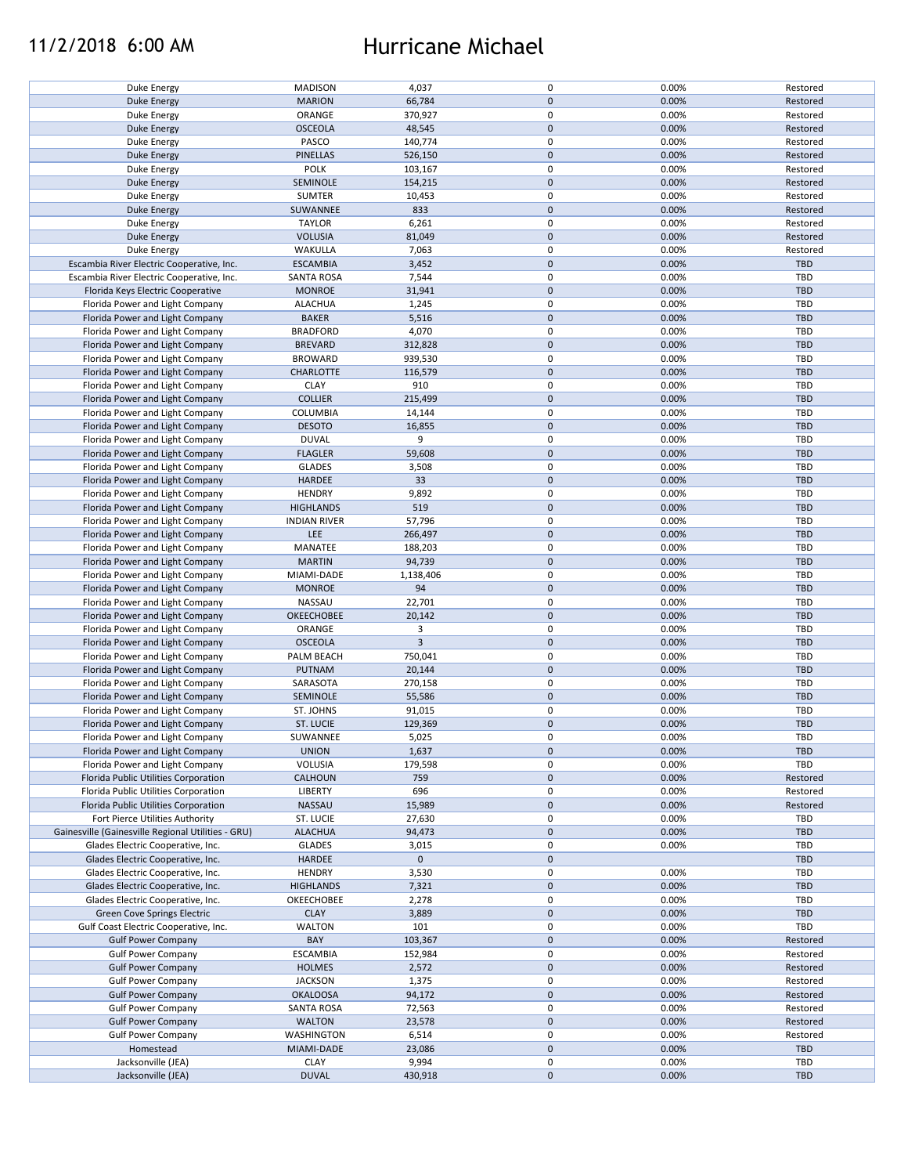## 11/2/2018 6:00 AM Hurricane Michael

| Duke Energy                                        | <b>MADISON</b>      | 4,037          | 0           | 0.00% | Restored   |
|----------------------------------------------------|---------------------|----------------|-------------|-------|------------|
| <b>Duke Energy</b>                                 | <b>MARION</b>       | 66,784         | $\mathbf 0$ | 0.00% | Restored   |
|                                                    |                     |                |             |       |            |
| Duke Energy                                        | ORANGE              | 370,927        | 0           | 0.00% | Restored   |
| <b>Duke Energy</b>                                 | <b>OSCEOLA</b>      | 48,545         | $\mathbf 0$ | 0.00% | Restored   |
| Duke Energy                                        | PASCO               | 140,774        | 0           | 0.00% | Restored   |
|                                                    |                     |                |             |       |            |
| Duke Energy                                        | <b>PINELLAS</b>     | 526,150        | $\mathbf 0$ | 0.00% | Restored   |
| Duke Energy                                        | <b>POLK</b>         | 103,167        | 0           | 0.00% | Restored   |
| <b>Duke Energy</b>                                 | SEMINOLE            | 154,215        | $\mathbf 0$ | 0.00% | Restored   |
|                                                    |                     |                |             |       |            |
| Duke Energy                                        | <b>SUMTER</b>       | 10,453         | $\mathsf 0$ | 0.00% | Restored   |
| <b>Duke Energy</b>                                 | SUWANNEE            | 833            | $\mathbf 0$ | 0.00% | Restored   |
| Duke Energy                                        | <b>TAYLOR</b>       | 6,261          | $\mathsf 0$ | 0.00% | Restored   |
|                                                    |                     |                |             |       |            |
| <b>Duke Energy</b>                                 | <b>VOLUSIA</b>      | 81,049         | $\mathbf 0$ | 0.00% | Restored   |
| Duke Energy                                        | WAKULLA             | 7,063          | $\pmb{0}$   | 0.00% | Restored   |
| Escambia River Electric Cooperative, Inc.          |                     |                | $\mathbf 0$ |       |            |
|                                                    | <b>ESCAMBIA</b>     | 3,452          |             | 0.00% | TBD        |
| Escambia River Electric Cooperative, Inc.          | <b>SANTA ROSA</b>   | 7,544          | $\mathsf 0$ | 0.00% | <b>TBD</b> |
| Florida Keys Electric Cooperative                  | <b>MONROE</b>       | 31,941         | $\mathbf 0$ | 0.00% | <b>TBD</b> |
|                                                    |                     |                |             |       |            |
| Florida Power and Light Company                    | <b>ALACHUA</b>      | 1,245          | $\mathbf 0$ | 0.00% | <b>TBD</b> |
| Florida Power and Light Company                    | <b>BAKER</b>        | 5,516          | $\mathbf 0$ | 0.00% | <b>TBD</b> |
| Florida Power and Light Company                    | <b>BRADFORD</b>     | 4,070          | 0           | 0.00% | <b>TBD</b> |
|                                                    |                     |                |             |       |            |
| Florida Power and Light Company                    | <b>BREVARD</b>      | 312,828        | $\mathbf 0$ | 0.00% | <b>TBD</b> |
| Florida Power and Light Company                    | <b>BROWARD</b>      | 939,530        | 0           | 0.00% | <b>TBD</b> |
|                                                    |                     |                |             |       |            |
| Florida Power and Light Company                    | CHARLOTTE           | 116,579        | $\mathbf 0$ | 0.00% | <b>TBD</b> |
| Florida Power and Light Company                    | <b>CLAY</b>         | 910            | 0           | 0.00% | <b>TBD</b> |
| Florida Power and Light Company                    | <b>COLLIER</b>      | 215,499        | $\mathbf 0$ | 0.00% | <b>TBD</b> |
|                                                    |                     |                |             |       |            |
| Florida Power and Light Company                    | COLUMBIA            | 14,144         | $\mathsf 0$ | 0.00% | TBD        |
| Florida Power and Light Company                    | <b>DESOTO</b>       | 16,855         | $\mathbf 0$ | 0.00% | <b>TBD</b> |
| Florida Power and Light Company                    | <b>DUVAL</b>        | 9              | 0           | 0.00% | <b>TBD</b> |
|                                                    |                     |                |             |       |            |
| Florida Power and Light Company                    | <b>FLAGLER</b>      | 59,608         | $\mathbf 0$ | 0.00% | <b>TBD</b> |
| Florida Power and Light Company                    | <b>GLADES</b>       | 3,508          | 0           | 0.00% | TBD        |
| Florida Power and Light Company                    | <b>HARDEE</b>       | 33             | $\mathbf 0$ | 0.00% | <b>TBD</b> |
|                                                    |                     |                |             |       |            |
| Florida Power and Light Company                    | <b>HENDRY</b>       | 9,892          | $\pmb{0}$   | 0.00% | TBD        |
| Florida Power and Light Company                    | <b>HIGHLANDS</b>    | 519            | $\pmb{0}$   | 0.00% | <b>TBD</b> |
|                                                    |                     |                |             |       |            |
| Florida Power and Light Company                    | <b>INDIAN RIVER</b> | 57,796         | $\pmb{0}$   | 0.00% | <b>TBD</b> |
| Florida Power and Light Company                    | LEE                 | 266,497        | $\mathbf 0$ | 0.00% | <b>TBD</b> |
| Florida Power and Light Company                    | MANATEE             | 188,203        | 0           | 0.00% | <b>TBD</b> |
|                                                    |                     |                |             |       |            |
| Florida Power and Light Company                    | <b>MARTIN</b>       | 94,739         | $\mathbf 0$ | 0.00% | <b>TBD</b> |
| Florida Power and Light Company                    | MIAMI-DADE          | 1,138,406      | $\pmb{0}$   | 0.00% | TBD        |
| Florida Power and Light Company                    | <b>MONROE</b>       | 94             | $\mathbf 0$ | 0.00% | <b>TBD</b> |
|                                                    |                     |                |             |       |            |
| Florida Power and Light Company                    | NASSAU              | 22,701         | 0           | 0.00% | <b>TBD</b> |
| Florida Power and Light Company                    | OKEECHOBEE          | 20,142         | $\mathbf 0$ | 0.00% | <b>TBD</b> |
|                                                    | ORANGE              | 3              | 0           | 0.00% | <b>TBD</b> |
| Florida Power and Light Company                    |                     |                |             |       |            |
| Florida Power and Light Company                    | <b>OSCEOLA</b>      | $\overline{3}$ | $\mathbf 0$ | 0.00% | <b>TBD</b> |
| Florida Power and Light Company                    | PALM BEACH          | 750,041        | 0           | 0.00% | <b>TBD</b> |
|                                                    |                     |                | $\mathbf 0$ |       |            |
| Florida Power and Light Company                    | <b>PUTNAM</b>       | 20,144         |             | 0.00% | <b>TBD</b> |
| Florida Power and Light Company                    | SARASOTA            | 270,158        | 0           | 0.00% | <b>TBD</b> |
| Florida Power and Light Company                    | SEMINOLE            | 55,586         | $\mathbf 0$ | 0.00% | <b>TBD</b> |
|                                                    |                     |                |             |       |            |
| Florida Power and Light Company                    | ST. JOHNS           | 91,015         | 0           | 0.00% | TBD        |
| Florida Power and Light Company                    | ST. LUCIE           | 129,369        | $\mathbf 0$ | 0.00% | <b>TBD</b> |
| Florida Power and Light Company                    | SUWANNEE            | 5,025          | $\Omega$    | 0.00% | TBD        |
|                                                    |                     |                |             |       |            |
| Florida Power and Light Company                    | <b>UNION</b>        | 1,637          | $\mathbf 0$ | 0.00% | <b>TBD</b> |
| Florida Power and Light Company                    | VOLUSIA             | 179,598        | $\pmb{0}$   | 0.00% | TBD        |
|                                                    | CALHOUN             |                | $\mathbf 0$ | 0.00% |            |
| Florida Public Utilities Corporation               |                     | 759            |             |       | Restored   |
| Florida Public Utilities Corporation               | LIBERTY             | 696            | 0           | 0.00% | Restored   |
| Florida Public Utilities Corporation               | <b>NASSAU</b>       | 15,989         | $\mathbf 0$ | 0.00% | Restored   |
|                                                    |                     |                |             |       |            |
| Fort Pierce Utilities Authority                    | ST. LUCIE           | 27,630         | 0           | 0.00% | <b>TBD</b> |
| Gainesville (Gainesville Regional Utilities - GRU) | <b>ALACHUA</b>      | 94,473         | $\mathbf 0$ | 0.00% | <b>TBD</b> |
| Glades Electric Cooperative, Inc.                  | <b>GLADES</b>       | 3,015          | 0           | 0.00% | <b>TBD</b> |
|                                                    |                     |                |             |       |            |
| Glades Electric Cooperative, Inc.                  | HARDEE              | $\mathbf 0$    | $\mathbf 0$ |       | <b>TBD</b> |
| Glades Electric Cooperative, Inc.                  | <b>HENDRY</b>       | 3,530          | 0           | 0.00% | <b>TBD</b> |
| Glades Electric Cooperative, Inc.                  | <b>HIGHLANDS</b>    | 7,321          | $\mathbf 0$ | 0.00% | <b>TBD</b> |
|                                                    |                     |                |             |       |            |
| Glades Electric Cooperative, Inc.                  | OKEECHOBEE          | 2,278          | $\pmb{0}$   | 0.00% | <b>TBD</b> |
| <b>Green Cove Springs Electric</b>                 | <b>CLAY</b>         | 3,889          | $\mathbf 0$ | 0.00% | <b>TBD</b> |
| Gulf Coast Electric Cooperative, Inc.              | <b>WALTON</b>       | 101            | $\pmb{0}$   | 0.00% | TBD        |
|                                                    |                     |                |             |       |            |
| <b>Gulf Power Company</b>                          | BAY                 | 103,367        | $\mathbf 0$ | 0.00% | Restored   |
| <b>Gulf Power Company</b>                          | <b>ESCAMBIA</b>     | 152,984        | $\mathbf 0$ | 0.00% | Restored   |
|                                                    |                     |                |             |       |            |
| <b>Gulf Power Company</b>                          | <b>HOLMES</b>       | 2,572          | $\mathbf 0$ | 0.00% | Restored   |
| <b>Gulf Power Company</b>                          | <b>JACKSON</b>      | 1,375          | 0           | 0.00% | Restored   |
| <b>Gulf Power Company</b>                          | <b>OKALOOSA</b>     | 94,172         | $\mathbf 0$ | 0.00% | Restored   |
|                                                    |                     |                |             |       |            |
| <b>Gulf Power Company</b>                          | <b>SANTA ROSA</b>   | 72,563         | 0           | 0.00% | Restored   |
| <b>Gulf Power Company</b>                          | <b>WALTON</b>       | 23,578         | $\pmb{0}$   | 0.00% | Restored   |
| <b>Gulf Power Company</b>                          | WASHINGTON          | 6,514          | 0           | 0.00% | Restored   |
|                                                    |                     |                |             |       |            |
| Homestead                                          | MIAMI-DADE          | 23,086         | $\mathbf 0$ | 0.00% | <b>TBD</b> |
| Jacksonville (JEA)                                 | <b>CLAY</b>         | 9,994          | 0           | 0.00% | <b>TBD</b> |
| Jacksonville (JEA)                                 | <b>DUVAL</b>        |                | $\mathbf 0$ | 0.00% | <b>TBD</b> |
|                                                    |                     | 430,918        |             |       |            |